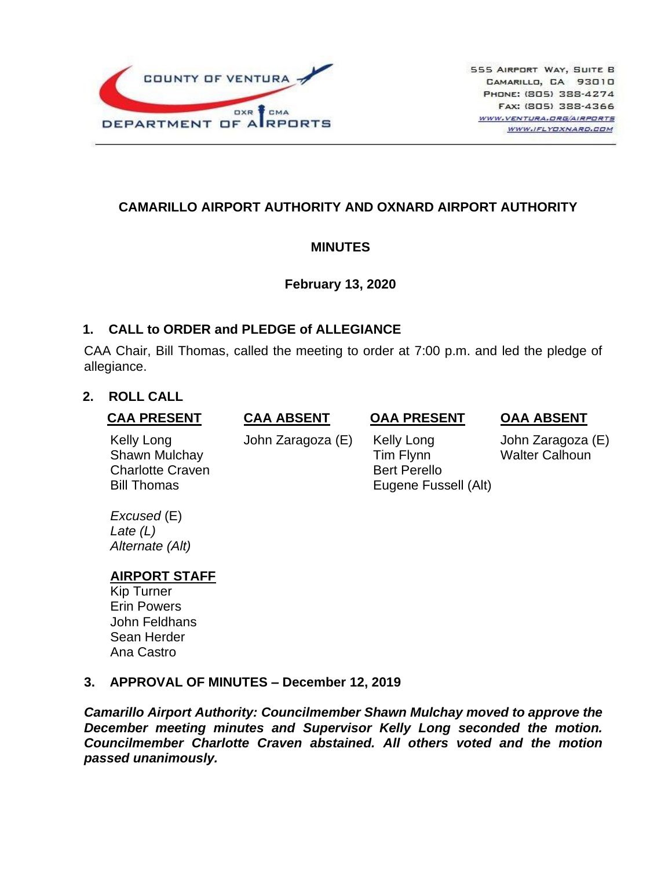

# **CAMARILLO AIRPORT AUTHORITY AND OXNARD AIRPORT AUTHORITY**

## **MINUTES**

### **February 13, 2020**

### **1. CALL to ORDER and PLEDGE of ALLEGIANCE**

CAA Chair, Bill Thomas, called the meeting to order at 7:00 p.m. and led the pledge of allegiance.

## **2. ROLL CALL**

### **CAA PRESENT**

**CAA ABSENT**

## **OAA PRESENT**

**OAA ABSENT**

Kelly Long Shawn Mulchay Charlotte Craven Bill Thomas

John Zaragoza (E)

 Kelly Long Tim Flynn Bert Perello Eugene Fussell (Alt)

John Zaragoza (E) Walter Calhoun

*Excused* (E) *Late (L) Alternate (Alt)*

## **AIRPORT STAFF**

Kip Turner Erin Powers John Feldhans Sean Herder Ana Castro

### **3. APPROVAL OF MINUTES – December 12, 2019**

*Camarillo Airport Authority: Councilmember Shawn Mulchay moved to approve the December meeting minutes and Supervisor Kelly Long seconded the motion. Councilmember Charlotte Craven abstained. All others voted and the motion passed unanimously.*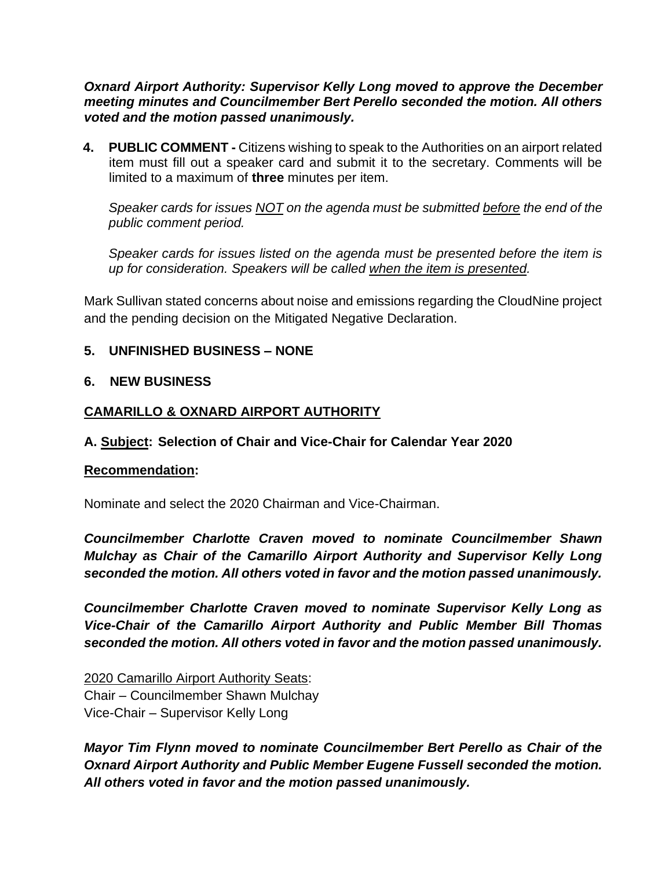*Oxnard Airport Authority: Supervisor Kelly Long moved to approve the December meeting minutes and Councilmember Bert Perello seconded the motion. All others voted and the motion passed unanimously.*

**4. PUBLIC COMMENT -** Citizens wishing to speak to the Authorities on an airport related item must fill out a speaker card and submit it to the secretary. Comments will be limited to a maximum of **three** minutes per item.

*Speaker cards for issues NOT on the agenda must be submitted before the end of the public comment period.* 

*Speaker cards for issues listed on the agenda must be presented before the item is up for consideration. Speakers will be called when the item is presented.*

Mark Sullivan stated concerns about noise and emissions regarding the CloudNine project and the pending decision on the Mitigated Negative Declaration.

## **5. UNFINISHED BUSINESS – NONE**

## **6. NEW BUSINESS**

## **CAMARILLO & OXNARD AIRPORT AUTHORITY**

## **A. Subject: Selection of Chair and Vice-Chair for Calendar Year 2020**

### **Recommendation:**

Nominate and select the 2020 Chairman and Vice-Chairman.

*Councilmember Charlotte Craven moved to nominate Councilmember Shawn Mulchay as Chair of the Camarillo Airport Authority and Supervisor Kelly Long seconded the motion. All others voted in favor and the motion passed unanimously.* 

*Councilmember Charlotte Craven moved to nominate Supervisor Kelly Long as Vice-Chair of the Camarillo Airport Authority and Public Member Bill Thomas seconded the motion. All others voted in favor and the motion passed unanimously.*

2020 Camarillo Airport Authority Seats: Chair – Councilmember Shawn Mulchay Vice-Chair – Supervisor Kelly Long

*Mayor Tim Flynn moved to nominate Councilmember Bert Perello as Chair of the Oxnard Airport Authority and Public Member Eugene Fussell seconded the motion. All others voted in favor and the motion passed unanimously.*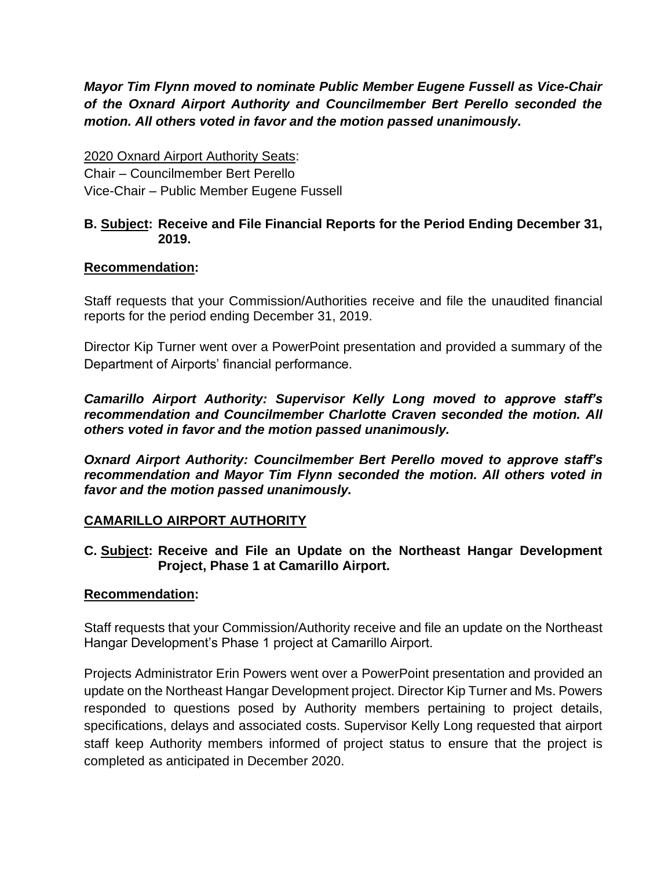*Mayor Tim Flynn moved to nominate Public Member Eugene Fussell as Vice-Chair of the Oxnard Airport Authority and Councilmember Bert Perello seconded the motion. All others voted in favor and the motion passed unanimously.* 

2020 Oxnard Airport Authority Seats: Chair – Councilmember Bert Perello Vice-Chair – Public Member Eugene Fussell

### **B. Subject: Receive and File Financial Reports for the Period Ending December 31, 2019.**

## **Recommendation:**

Staff requests that your Commission/Authorities receive and file the unaudited financial reports for the period ending December 31, 2019.

Director Kip Turner went over a PowerPoint presentation and provided a summary of the Department of Airports' financial performance.

*Camarillo Airport Authority: Supervisor Kelly Long moved to approve staff's recommendation and Councilmember Charlotte Craven seconded the motion. All others voted in favor and the motion passed unanimously.*

*Oxnard Airport Authority: Councilmember Bert Perello moved to approve staff's recommendation and Mayor Tim Flynn seconded the motion. All others voted in favor and the motion passed unanimously.*

## **CAMARILLO AIRPORT AUTHORITY**

### **C. Subject: Receive and File an Update on the Northeast Hangar Development Project, Phase 1 at Camarillo Airport.**

### **Recommendation:**

Staff requests that your Commission/Authority receive and file an update on the Northeast Hangar Development's Phase 1 project at Camarillo Airport.

Projects Administrator Erin Powers went over a PowerPoint presentation and provided an update on the Northeast Hangar Development project. Director Kip Turner and Ms. Powers responded to questions posed by Authority members pertaining to project details, specifications, delays and associated costs. Supervisor Kelly Long requested that airport staff keep Authority members informed of project status to ensure that the project is completed as anticipated in December 2020.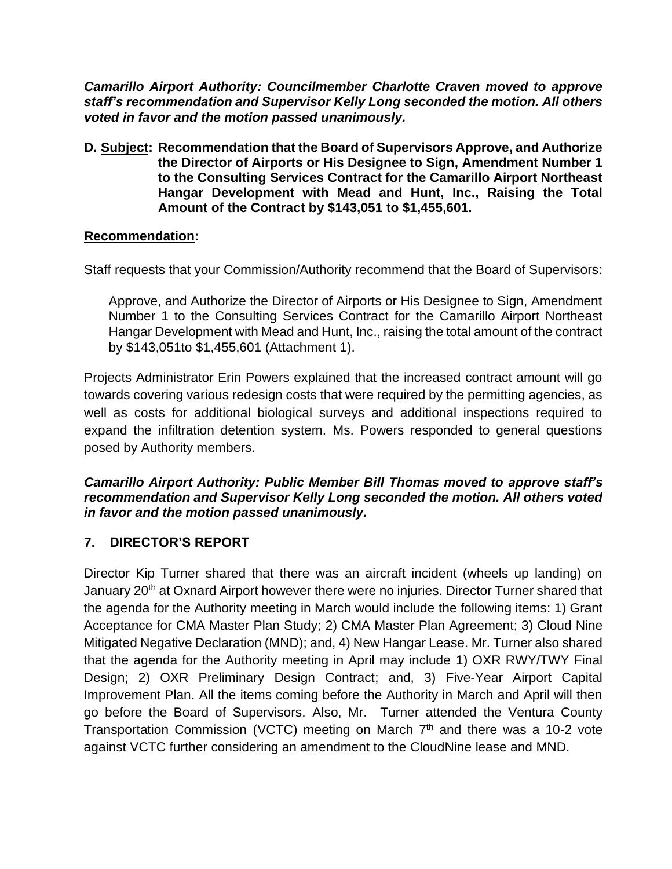*Camarillo Airport Authority: Councilmember Charlotte Craven moved to approve staff's recommendation and Supervisor Kelly Long seconded the motion. All others voted in favor and the motion passed unanimously.*

**D. Subject: Recommendation that the Board of Supervisors Approve, and Authorize the Director of Airports or His Designee to Sign, Amendment Number 1 to the Consulting Services Contract for the Camarillo Airport Northeast Hangar Development with Mead and Hunt, Inc., Raising the Total Amount of the Contract by \$143,051 to \$1,455,601.**

## **Recommendation:**

Staff requests that your Commission/Authority recommend that the Board of Supervisors:

Approve, and Authorize the Director of Airports or His Designee to Sign, Amendment Number 1 to the Consulting Services Contract for the Camarillo Airport Northeast Hangar Development with Mead and Hunt, Inc., raising the total amount of the contract by \$143,051to \$1,455,601 (Attachment 1).

Projects Administrator Erin Powers explained that the increased contract amount will go towards covering various redesign costs that were required by the permitting agencies, as well as costs for additional biological surveys and additional inspections required to expand the infiltration detention system. Ms. Powers responded to general questions posed by Authority members.

### *Camarillo Airport Authority: Public Member Bill Thomas moved to approve staff's recommendation and Supervisor Kelly Long seconded the motion. All others voted in favor and the motion passed unanimously.*

## **7. DIRECTOR'S REPORT**

Director Kip Turner shared that there was an aircraft incident (wheels up landing) on January 20<sup>th</sup> at Oxnard Airport however there were no injuries. Director Turner shared that the agenda for the Authority meeting in March would include the following items: 1) Grant Acceptance for CMA Master Plan Study; 2) CMA Master Plan Agreement; 3) Cloud Nine Mitigated Negative Declaration (MND); and, 4) New Hangar Lease. Mr. Turner also shared that the agenda for the Authority meeting in April may include 1) OXR RWY/TWY Final Design; 2) OXR Preliminary Design Contract; and, 3) Five-Year Airport Capital Improvement Plan. All the items coming before the Authority in March and April will then go before the Board of Supervisors. Also, Mr. Turner attended the Ventura County Transportation Commission (VCTC) meeting on March  $7<sup>th</sup>$  and there was a 10-2 vote against VCTC further considering an amendment to the CloudNine lease and MND.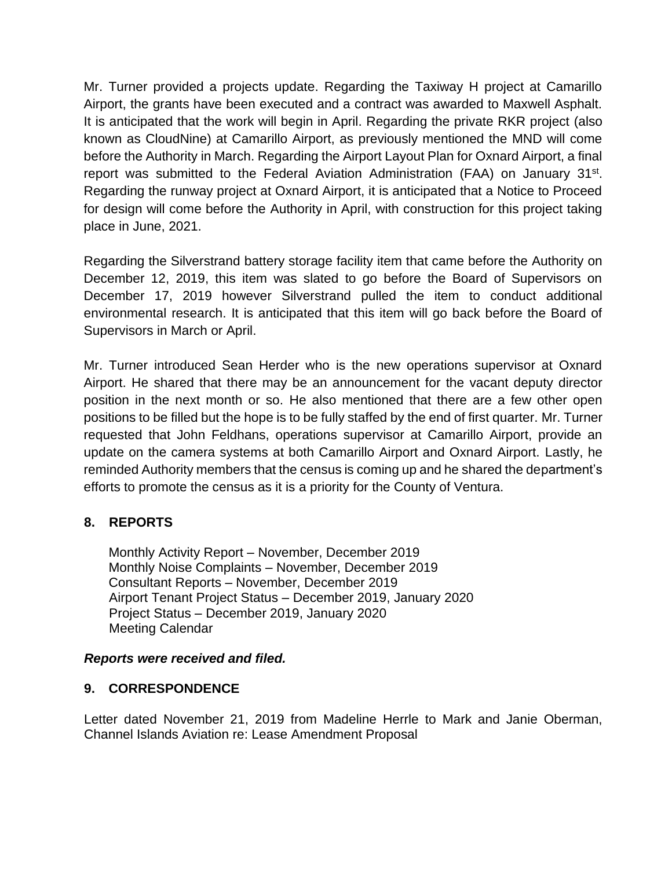Mr. Turner provided a projects update. Regarding the Taxiway H project at Camarillo Airport, the grants have been executed and a contract was awarded to Maxwell Asphalt. It is anticipated that the work will begin in April. Regarding the private RKR project (also known as CloudNine) at Camarillo Airport, as previously mentioned the MND will come before the Authority in March. Regarding the Airport Layout Plan for Oxnard Airport, a final report was submitted to the Federal Aviation Administration (FAA) on January 31<sup>st</sup>. Regarding the runway project at Oxnard Airport, it is anticipated that a Notice to Proceed for design will come before the Authority in April, with construction for this project taking place in June, 2021.

Regarding the Silverstrand battery storage facility item that came before the Authority on December 12, 2019, this item was slated to go before the Board of Supervisors on December 17, 2019 however Silverstrand pulled the item to conduct additional environmental research. It is anticipated that this item will go back before the Board of Supervisors in March or April.

Mr. Turner introduced Sean Herder who is the new operations supervisor at Oxnard Airport. He shared that there may be an announcement for the vacant deputy director position in the next month or so. He also mentioned that there are a few other open positions to be filled but the hope is to be fully staffed by the end of first quarter. Mr. Turner requested that John Feldhans, operations supervisor at Camarillo Airport, provide an update on the camera systems at both Camarillo Airport and Oxnard Airport. Lastly, he reminded Authority members that the census is coming up and he shared the department's efforts to promote the census as it is a priority for the County of Ventura.

## **8. REPORTS**

Monthly Activity Report – November, December 2019 Monthly Noise Complaints – November, December 2019 Consultant Reports – November, December 2019 Airport Tenant Project Status – December 2019, January 2020 Project Status – December 2019, January 2020 Meeting Calendar

### *Reports were received and filed.*

### **9. CORRESPONDENCE**

Letter dated November 21, 2019 from Madeline Herrle to Mark and Janie Oberman, Channel Islands Aviation re: Lease Amendment Proposal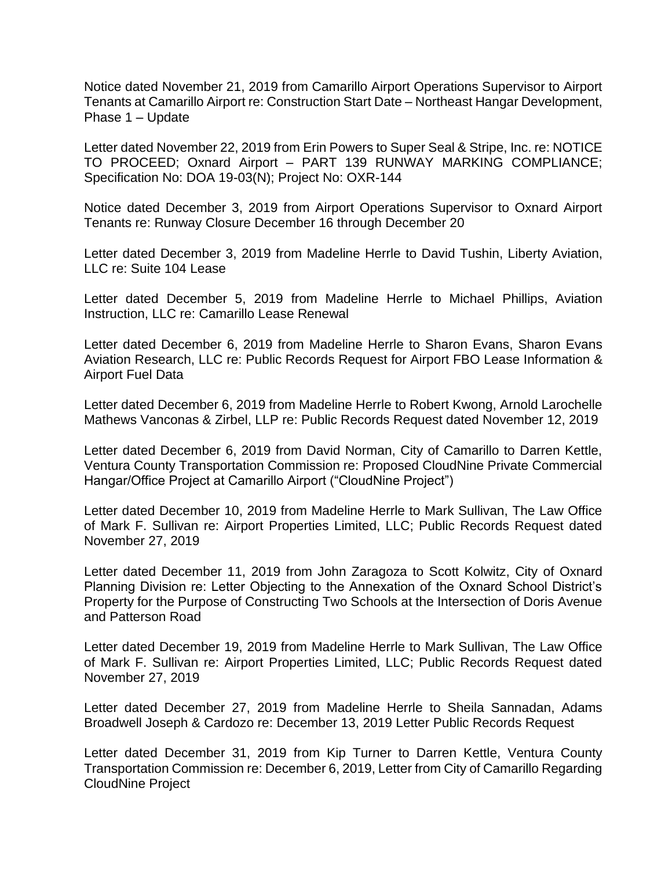Notice dated November 21, 2019 from Camarillo Airport Operations Supervisor to Airport Tenants at Camarillo Airport re: Construction Start Date – Northeast Hangar Development, Phase 1 – Update

Letter dated November 22, 2019 from Erin Powers to Super Seal & Stripe, Inc. re: NOTICE TO PROCEED; Oxnard Airport – PART 139 RUNWAY MARKING COMPLIANCE; Specification No: DOA 19-03(N); Project No: OXR-144

Notice dated December 3, 2019 from Airport Operations Supervisor to Oxnard Airport Tenants re: Runway Closure December 16 through December 20

Letter dated December 3, 2019 from Madeline Herrle to David Tushin, Liberty Aviation, LLC re: Suite 104 Lease

Letter dated December 5, 2019 from Madeline Herrle to Michael Phillips, Aviation Instruction, LLC re: Camarillo Lease Renewal

Letter dated December 6, 2019 from Madeline Herrle to Sharon Evans, Sharon Evans Aviation Research, LLC re: Public Records Request for Airport FBO Lease Information & Airport Fuel Data

Letter dated December 6, 2019 from Madeline Herrle to Robert Kwong, Arnold Larochelle Mathews Vanconas & Zirbel, LLP re: Public Records Request dated November 12, 2019

Letter dated December 6, 2019 from David Norman, City of Camarillo to Darren Kettle, Ventura County Transportation Commission re: Proposed CloudNine Private Commercial Hangar/Office Project at Camarillo Airport ("CloudNine Project")

Letter dated December 10, 2019 from Madeline Herrle to Mark Sullivan, The Law Office of Mark F. Sullivan re: Airport Properties Limited, LLC; Public Records Request dated November 27, 2019

Letter dated December 11, 2019 from John Zaragoza to Scott Kolwitz, City of Oxnard Planning Division re: Letter Objecting to the Annexation of the Oxnard School District's Property for the Purpose of Constructing Two Schools at the Intersection of Doris Avenue and Patterson Road

Letter dated December 19, 2019 from Madeline Herrle to Mark Sullivan, The Law Office of Mark F. Sullivan re: Airport Properties Limited, LLC; Public Records Request dated November 27, 2019

Letter dated December 27, 2019 from Madeline Herrle to Sheila Sannadan, Adams Broadwell Joseph & Cardozo re: December 13, 2019 Letter Public Records Request

Letter dated December 31, 2019 from Kip Turner to Darren Kettle, Ventura County Transportation Commission re: December 6, 2019, Letter from City of Camarillo Regarding CloudNine Project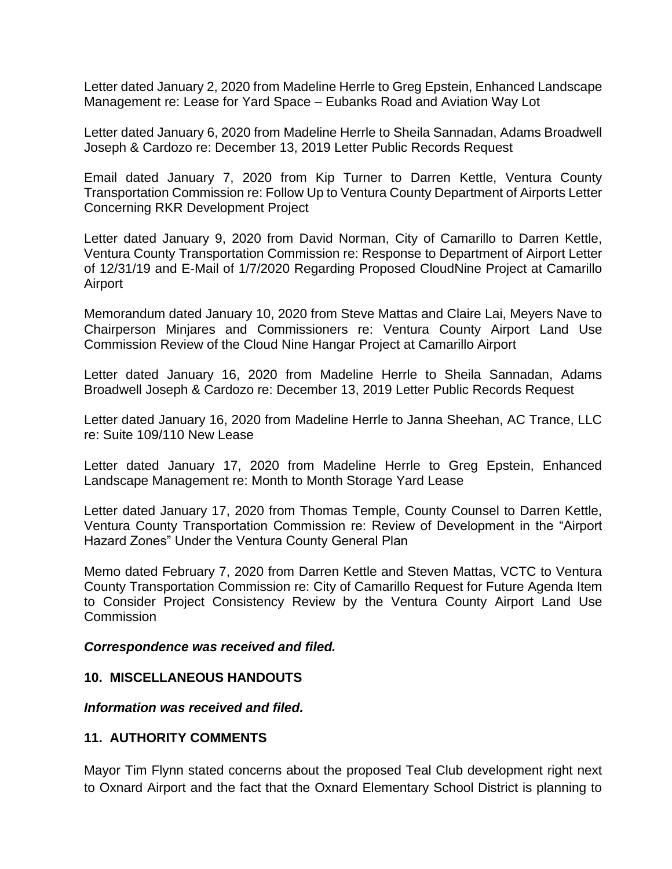Letter dated January 2, 2020 from Madeline Herrle to Greg Epstein, Enhanced Landscape Management re: Lease for Yard Space – Eubanks Road and Aviation Way Lot

Letter dated January 6, 2020 from Madeline Herrle to Sheila Sannadan, Adams Broadwell Joseph & Cardozo re: December 13, 2019 Letter Public Records Request

Email dated January 7, 2020 from Kip Turner to Darren Kettle, Ventura County Transportation Commission re: Follow Up to Ventura County Department of Airports Letter Concerning RKR Development Project

Letter dated January 9, 2020 from David Norman, City of Camarillo to Darren Kettle, Ventura County Transportation Commission re: Response to Department of Airport Letter of 12/31/19 and E-Mail of 1/7/2020 Regarding Proposed CloudNine Project at Camarillo Airport

Memorandum dated January 10, 2020 from Steve Mattas and Claire Lai, Meyers Nave to Chairperson Minjares and Commissioners re: Ventura County Airport Land Use Commission Review of the Cloud Nine Hangar Project at Camarillo Airport

Letter dated January 16, 2020 from Madeline Herrle to Sheila Sannadan, Adams Broadwell Joseph & Cardozo re: December 13, 2019 Letter Public Records Request

Letter dated January 16, 2020 from Madeline Herrle to Janna Sheehan, AC Trance, LLC re: Suite 109/110 New Lease

Letter dated January 17, 2020 from Madeline Herrle to Greg Epstein, Enhanced Landscape Management re: Month to Month Storage Yard Lease

Letter dated January 17, 2020 from Thomas Temple, County Counsel to Darren Kettle, Ventura County Transportation Commission re: Review of Development in the "Airport Hazard Zones" Under the Ventura County General Plan

Memo dated February 7, 2020 from Darren Kettle and Steven Mattas, VCTC to Ventura County Transportation Commission re: City of Camarillo Request for Future Agenda Item to Consider Project Consistency Review by the Ventura County Airport Land Use **Commission** 

#### *Correspondence was received and filed.*

### **10. MISCELLANEOUS HANDOUTS**

*Information was received and filed.*

### **11. AUTHORITY COMMENTS**

Mayor Tim Flynn stated concerns about the proposed Teal Club development right next to Oxnard Airport and the fact that the Oxnard Elementary School District is planning to